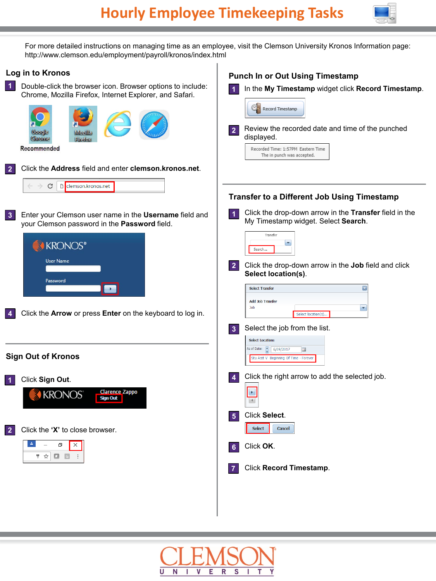

For more detailed instructions on managing time as an employee, visit the Clemson University Kronos Information page: http://www.clemson.edu/employment/payroll/kronos/index.html

## **Log in to Kronos**

Double-click the browser icon. Browser options to include: **1** Chrome, Mozilla Firefox, Internet Explorer, and Safari.





Enter your Clemson user name in the **Username** field and your Clemson password in the **Password** field. **3**



**4** Click the **Arrow** or press **Enter** on the keyboard to log in.